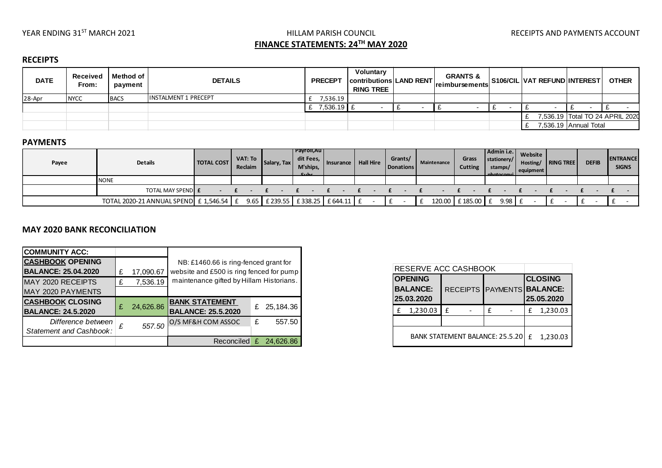# YEAR ENDING 31<sup>ST</sup> MARCH 2021 **HILLAM PARISH COUNCIL** THE STATE RECEIPTS AND PAYMENTS ACCOUNT **FINANCE STATEMENTS: 24TH MAY 2020**

## **RECEIPTS**

| <b>DATE</b> | Received<br>From: | Method of<br>payment | <b>DETAILS</b>       | <b>PRECEPT</b> | Voluntary<br>contributions LAND RENT<br><b>RING TREE</b> | <b>GRANTS &amp;</b><br><b>Ireimbursements</b> | <b>S106/CIL VAT REFUND INTEREST</b> |                       | <b>OTHER</b>                    |
|-------------|-------------------|----------------------|----------------------|----------------|----------------------------------------------------------|-----------------------------------------------|-------------------------------------|-----------------------|---------------------------------|
| 28-Apr      | <b>NYCC</b>       | <b>BACS</b>          | INSTALMENT 1 PRECEPT | 536.19"        |                                                          |                                               |                                     |                       |                                 |
|             |                   |                      |                      | $7,536.19$ £   |                                                          |                                               |                                     |                       |                                 |
|             |                   |                      |                      |                |                                                          |                                               |                                     |                       | 7,536.19 Total TO 24 APRIL 2020 |
|             |                   |                      |                      |                |                                                          |                                               |                                     | 7,536.19 Annual Total |                                 |

#### **PAYMENTS**

| Payee | Details                                                                   | <b>TOTAL COST</b> | VAT: To $\parallel$<br>Reclaim | Salary, Tax | Payroll,Au<br>dit Fees,<br>M'ships,<br>C <sub>1</sub> | Insurance | <b>Hall Hire</b> | Grants/<br>Donations | Maintenance | Grass<br><b>Cutting</b> | Admin i.e.   <br>stationery/<br>stamps/<br><b>Inhotocomul</b> | Website<br>Hosting/<br>equipment | RING TREE | <b>DEFIB</b> | <b>ENTRANCE</b><br><b>SIGNS</b> |
|-------|---------------------------------------------------------------------------|-------------------|--------------------------------|-------------|-------------------------------------------------------|-----------|------------------|----------------------|-------------|-------------------------|---------------------------------------------------------------|----------------------------------|-----------|--------------|---------------------------------|
|       | <b>NONE</b>                                                               |                   |                                |             |                                                       |           |                  |                      |             |                         |                                                               |                                  |           |              |                                 |
|       | <b>TOTAL MAY SPENDE</b>                                                   |                   |                                |             |                                                       |           |                  |                      |             |                         |                                                               |                                  |           |              |                                 |
|       | TOTAL 2020-21 ANNUAL SPEND E 1,546.54 E 9.65 E 239.55 E 338.25 E 644.11 E |                   |                                |             |                                                       |           |                  |                      |             | 120.00 £185.00 £        | 9.98 L L                                                      |                                  |           |              |                                 |

### **MAY 2020 BANK RECONCILIATION**

| <b>COMMUNITY ACC:</b>      |   |           |                                          |   |           |  |  |  |
|----------------------------|---|-----------|------------------------------------------|---|-----------|--|--|--|
| <b>CASHBOOK OPENING</b>    |   |           | NB: £1460.66 is ring-fenced grant for    |   |           |  |  |  |
| <b>BALANCE: 25.04.2020</b> |   | 17,090.67 | website and £500 is ring fenced for pump |   |           |  |  |  |
| MAY 2020 RECEIPTS          | £ | 7,536.19  | maintenance gifted by Hillam Historians. |   |           |  |  |  |
| MAY 2020 PAYMENTS          |   |           |                                          |   |           |  |  |  |
| <b>CASHBOOK CLOSING</b>    |   |           | <b>BANK STATEMENT</b>                    |   |           |  |  |  |
| <b>BALANCE: 24.5.2020</b>  | £ | 24,626.86 | <b>BALANCE: 25.5.2020</b>                | £ | 25,184.36 |  |  |  |
| Difference between         | £ |           | 557.50 O/S MF&H COM ASSOC                | £ | 557.50    |  |  |  |
| Statement and Cashbook:    |   |           |                                          |   |           |  |  |  |
|                            |   |           | Reconciled $£$ 24,626.86                 |   |           |  |  |  |

|          | RESERVE ACC CASHBOOK                            |   |          |  |                                                            |          |  |  |
|----------|-------------------------------------------------|---|----------|--|------------------------------------------------------------|----------|--|--|
|          | <b>OPENING</b><br><b>BALANCE:</b><br>25.03.2020 |   |          |  | <b>CLOSING</b><br>RECEIPTS PAYMENTS BALANCE:<br>25.05.2020 |          |  |  |
| 1,230.03 |                                                 | f | £        |  | £                                                          | 1,230.03 |  |  |
|          |                                                 |   |          |  |                                                            |          |  |  |
|          | <b>BANK STATEMENT BALANCE: 25.5.20</b>          | f | 1,230.03 |  |                                                            |          |  |  |